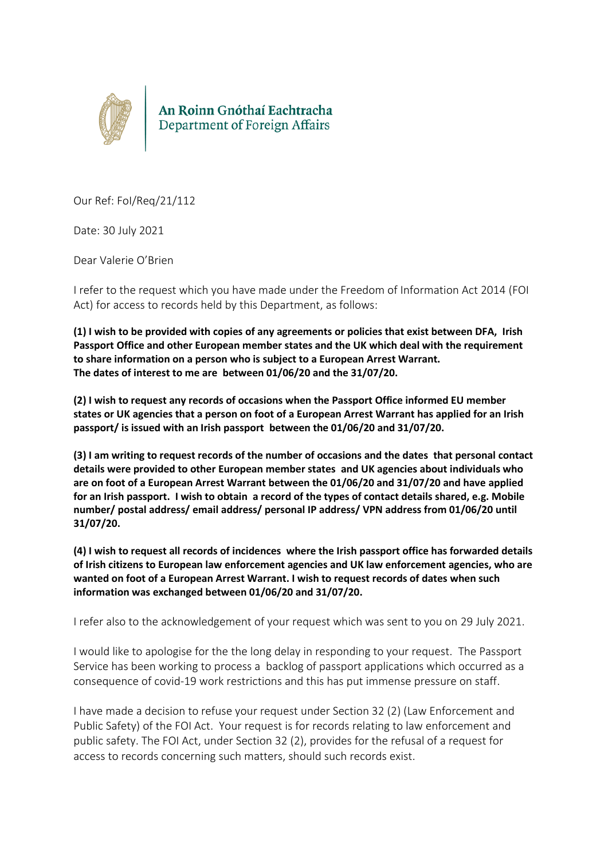

Our Ref: FoI/Req/21/112

Date: 30 July 2021

Dear Valerie O'Brien

I refer to the request which you have made under the Freedom of Information Act 2014 (FOI Act) for access to records held by this Department, as follows:

**(1) I wish to be provided with copies of any agreements or policies that exist between DFA, Irish Passport Office and other European member states and the UK which deal with the requirement to share information on a person who is subject to a European Arrest Warrant. The dates of interest to me are between 01/06/20 and the 31/07/20.**

**(2) I wish to request any records of occasions when the Passport Office informed EU member states or UK agencies that a person on foot of a European Arrest Warrant has applied for an Irish passport/ is issued with an Irish passport between the 01/06/20 and 31/07/20.** 

**(3) I am writing to request records of the number of occasions and the dates that personal contact details were provided to other European member states and UK agencies about individuals who are on foot of a European Arrest Warrant between the 01/06/20 and 31/07/20 and have applied for an Irish passport. I wish to obtain a record of the types of contact details shared, e.g. Mobile number/ postal address/ email address/ personal IP address/ VPN address from 01/06/20 until 31/07/20.**

**(4) I wish to request all records of incidences where the Irish passport office has forwarded details of Irish citizens to European law enforcement agencies and UK law enforcement agencies, who are wanted on foot of a European Arrest Warrant. I wish to request records of dates when such information was exchanged between 01/06/20 and 31/07/20.**

I refer also to the acknowledgement of your request which was sent to you on 29 July 2021.

I would like to apologise for the the long delay in responding to your request. The Passport Service has been working to process a backlog of passport applications which occurred as a consequence of covid-19 work restrictions and this has put immense pressure on staff.

I have made a decision to refuse your request under Section 32 (2) (Law Enforcement and Public Safety) of the FOI Act. Your request is for records relating to law enforcement and public safety. The FOI Act, under Section 32 (2), provides for the refusal of a request for access to records concerning such matters, should such records exist.